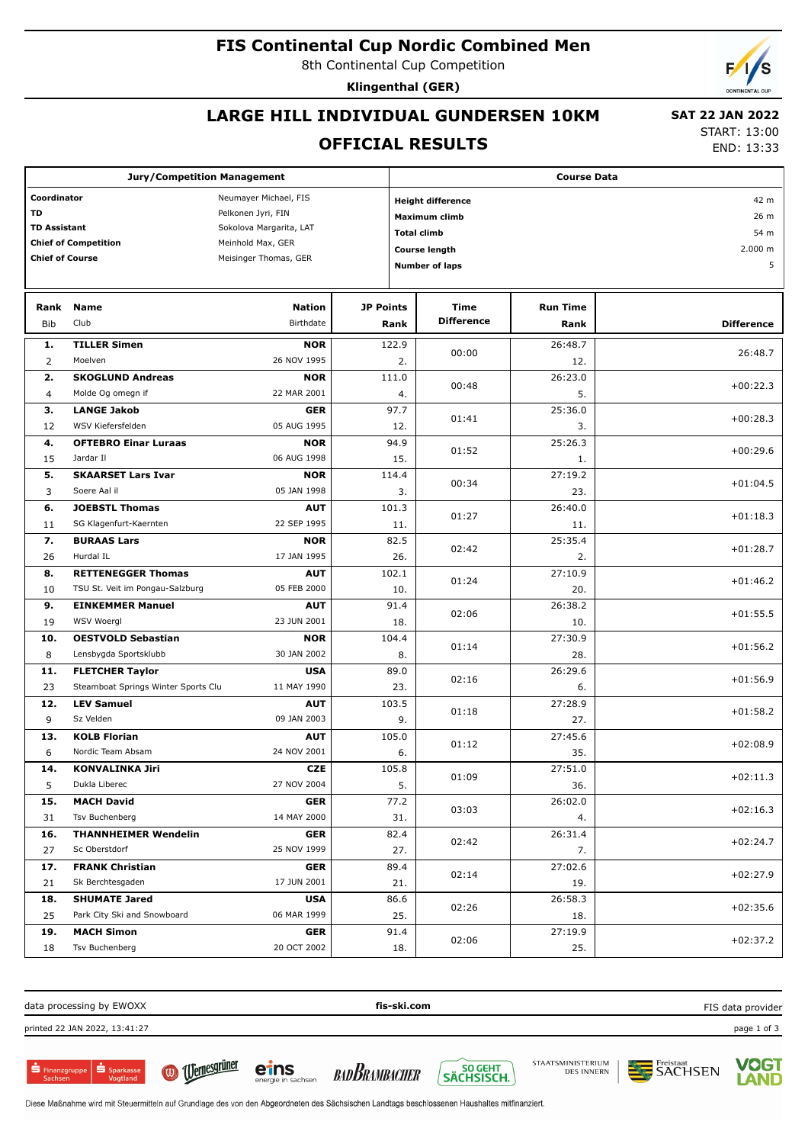### **FIS Continental Cup Nordic Combined Men**

8th Continental Cup Competition

**Klingenthal (GER)**

## **LARGE HILL INDIVIDUAL GUNDERSEN 10KM**

#### **OFFICIAL RESULTS**

 **SAT 22 JAN 2022** START: 13:00

END: 13:33

| <b>Jury/Competition Management</b>                                                                                                                                                                                               |                                     |                            |                          | <b>Course Data</b>                                                                                               |                                      |                         |                   |  |
|----------------------------------------------------------------------------------------------------------------------------------------------------------------------------------------------------------------------------------|-------------------------------------|----------------------------|--------------------------|------------------------------------------------------------------------------------------------------------------|--------------------------------------|-------------------------|-------------------|--|
| Coordinator<br>Neumayer Michael, FIS<br><b>TD</b><br>Pelkonen Jyri, FIN<br><b>TD Assistant</b><br>Sokolova Margarita, LAT<br><b>Chief of Competition</b><br>Meinhold Max, GER<br><b>Chief of Course</b><br>Meisinger Thomas, GER |                                     |                            |                          | <b>Height difference</b><br><b>Maximum climb</b><br><b>Total climb</b><br>Course length<br><b>Number of laps</b> | 42 m<br>26 m<br>54 m<br>2.000 m<br>5 |                         |                   |  |
|                                                                                                                                                                                                                                  |                                     |                            |                          |                                                                                                                  |                                      |                         |                   |  |
| Rank<br><b>Bib</b>                                                                                                                                                                                                               | <b>Name</b><br>Club                 | <b>Nation</b><br>Birthdate | <b>JP Points</b><br>Rank |                                                                                                                  | Time<br><b>Difference</b>            | <b>Run Time</b><br>Rank | <b>Difference</b> |  |
| 1.                                                                                                                                                                                                                               | <b>TILLER Simen</b>                 | <b>NOR</b>                 | 122.9                    |                                                                                                                  | 00:00                                | 26:48.7                 | 26:48.7           |  |
| 2                                                                                                                                                                                                                                | Moelven                             | 26 NOV 1995                |                          | 2.                                                                                                               |                                      | 12.                     |                   |  |
| 2.                                                                                                                                                                                                                               | <b>SKOGLUND Andreas</b>             | <b>NOR</b>                 | 111.0                    |                                                                                                                  | 00:48                                | 26:23.0                 | $+00:22.3$        |  |
| $\overline{4}$                                                                                                                                                                                                                   | Molde Og omegn if                   | 22 MAR 2001                |                          | 4.                                                                                                               |                                      | 5.                      |                   |  |
| 3.                                                                                                                                                                                                                               | <b>LANGE Jakob</b>                  | <b>GER</b>                 |                          | 97.7                                                                                                             | 01:41                                | 25:36.0                 | $+00:28.3$        |  |
| 12                                                                                                                                                                                                                               | WSV Kiefersfelden                   | 05 AUG 1995                |                          | 12.                                                                                                              |                                      | 3.                      |                   |  |
| 4.                                                                                                                                                                                                                               | <b>OFTEBRO Einar Luraas</b>         | <b>NOR</b>                 |                          | 94.9                                                                                                             | 01:52                                | 25:26.3                 | $+00:29.6$        |  |
| 15                                                                                                                                                                                                                               | Jardar II                           | 06 AUG 1998                |                          | 15.                                                                                                              |                                      | 1.                      |                   |  |
| 5.                                                                                                                                                                                                                               | <b>SKAARSET Lars Ivar</b>           | <b>NOR</b>                 | 114.4                    |                                                                                                                  | 00:34                                | 27:19.2                 | $+01:04.5$        |  |
| 3                                                                                                                                                                                                                                | Soere Aal il                        | 05 JAN 1998                |                          | 3.                                                                                                               |                                      | 23.                     |                   |  |
| 6.                                                                                                                                                                                                                               | <b>JOEBSTL Thomas</b>               | <b>AUT</b>                 | 101.3                    |                                                                                                                  | 01:27                                | 26:40.0                 | $+01:18.3$        |  |
| 11                                                                                                                                                                                                                               | SG Klagenfurt-Kaernten              | 22 SEP 1995                |                          | 11.                                                                                                              |                                      | 11.                     |                   |  |
| 7.                                                                                                                                                                                                                               | <b>BURAAS Lars</b>                  | <b>NOR</b>                 |                          | 82.5                                                                                                             | 02:42                                | 25:35.4                 | $+01:28.7$        |  |
| 26                                                                                                                                                                                                                               | Hurdal IL                           | 17 JAN 1995                |                          | 26.                                                                                                              |                                      | 2.                      |                   |  |
| 8.                                                                                                                                                                                                                               | <b>RETTENEGGER Thomas</b>           | <b>AUT</b>                 | 102.1                    |                                                                                                                  | 01:24                                | 27:10.9                 | $+01:46.2$        |  |
| 10                                                                                                                                                                                                                               | TSU St. Veit im Pongau-Salzburg     | 05 FEB 2000                |                          | 10.                                                                                                              |                                      | 20.                     |                   |  |
| 9.                                                                                                                                                                                                                               | <b>EINKEMMER Manuel</b>             | <b>AUT</b>                 |                          | 91.4                                                                                                             | 02:06                                | 26:38.2                 | $+01:55.5$        |  |
| 19                                                                                                                                                                                                                               | WSV Woergl                          | 23 JUN 2001                |                          | 18.                                                                                                              |                                      | 10.                     |                   |  |
| 10.                                                                                                                                                                                                                              | <b>OESTVOLD Sebastian</b>           | <b>NOR</b>                 | 104.4                    |                                                                                                                  | 01:14                                | 27:30.9                 | $+01:56.2$        |  |
| 8                                                                                                                                                                                                                                | Lensbygda Sportsklubb               | 30 JAN 2002                |                          | 8.                                                                                                               |                                      | 28.                     |                   |  |
| 11.                                                                                                                                                                                                                              | <b>FLETCHER Taylor</b>              | <b>USA</b>                 |                          | 89.0                                                                                                             | 02:16                                | 26:29.6                 | $+01:56.9$        |  |
| 23                                                                                                                                                                                                                               | Steamboat Springs Winter Sports Clu | 11 MAY 1990                |                          | 23.                                                                                                              |                                      | 6.                      |                   |  |
| 12.                                                                                                                                                                                                                              | <b>LEV Samuel</b>                   | <b>AUT</b>                 | 103.5                    |                                                                                                                  | 01:18                                | 27:28.9                 | $+01:58.2$        |  |
| 9                                                                                                                                                                                                                                | Sz Velden                           | 09 JAN 2003                |                          | 9.                                                                                                               |                                      | 27.                     |                   |  |
| 13.                                                                                                                                                                                                                              | <b>KOLB Florian</b>                 | <b>AUT</b>                 | 105.0                    |                                                                                                                  | 01:12                                | 27:45.6                 | $+02:08.9$        |  |
| 6                                                                                                                                                                                                                                | Nordic Team Absam                   | 24 NOV 2001                |                          | 6.                                                                                                               |                                      | 35.                     |                   |  |
| 14.                                                                                                                                                                                                                              | <b>KONVALINKA Jiri</b>              | <b>CZE</b>                 | 105.8                    |                                                                                                                  | 01:09                                | 27:51.0                 | $+02:11.3$        |  |
| 5                                                                                                                                                                                                                                | Dukla Liberec                       | 27 NOV 2004                |                          | 5.                                                                                                               |                                      | 36.                     |                   |  |
| 15.                                                                                                                                                                                                                              | <b>MACH David</b>                   | <b>GER</b>                 |                          | 77.2                                                                                                             | 03:03                                | 26:02.0                 | $+02:16.3$        |  |
| 31                                                                                                                                                                                                                               | Tsv Buchenberg                      | 14 MAY 2000                |                          | 31.                                                                                                              |                                      | 4.                      |                   |  |
| 16.                                                                                                                                                                                                                              | <b>THANNHEIMER Wendelin</b>         | <b>GER</b>                 |                          | 82.4                                                                                                             | 02:42                                | 26:31.4                 | $+02:24.7$        |  |
| 27                                                                                                                                                                                                                               | Sc Oberstdorf                       | 25 NOV 1999                |                          | 27.                                                                                                              |                                      | 7.                      |                   |  |
| 17.                                                                                                                                                                                                                              | <b>FRANK Christian</b>              | <b>GER</b>                 |                          | 89.4                                                                                                             | 02:14                                | 27:02.6                 | $+02:27.9$        |  |
| 21                                                                                                                                                                                                                               | Sk Berchtesgaden                    | 17 JUN 2001                |                          | 21.                                                                                                              |                                      | 19.                     |                   |  |
| 18.                                                                                                                                                                                                                              | <b>SHUMATE Jared</b>                | <b>USA</b>                 |                          | 86.6                                                                                                             | 02:26                                | 26:58.3                 | $+02:35.6$        |  |
| 25                                                                                                                                                                                                                               | Park City Ski and Snowboard         | 06 MAR 1999                |                          | 25.                                                                                                              |                                      | 18.                     |                   |  |
| 19.                                                                                                                                                                                                                              | <b>MACH Simon</b>                   | <b>GER</b>                 |                          | 91.4                                                                                                             | 02:06                                | 27:19.9                 | $+02:37.2$        |  |
| 18                                                                                                                                                                                                                               | Tsv Buchenberg                      | 20 OCT 2002                |                          | 18.                                                                                                              |                                      | 25.                     |                   |  |

data processing by EWOXX **fis-ski.com** printed 22 JAN 2022, 13:41:27 page 1 of 3 FIS data provider











eins

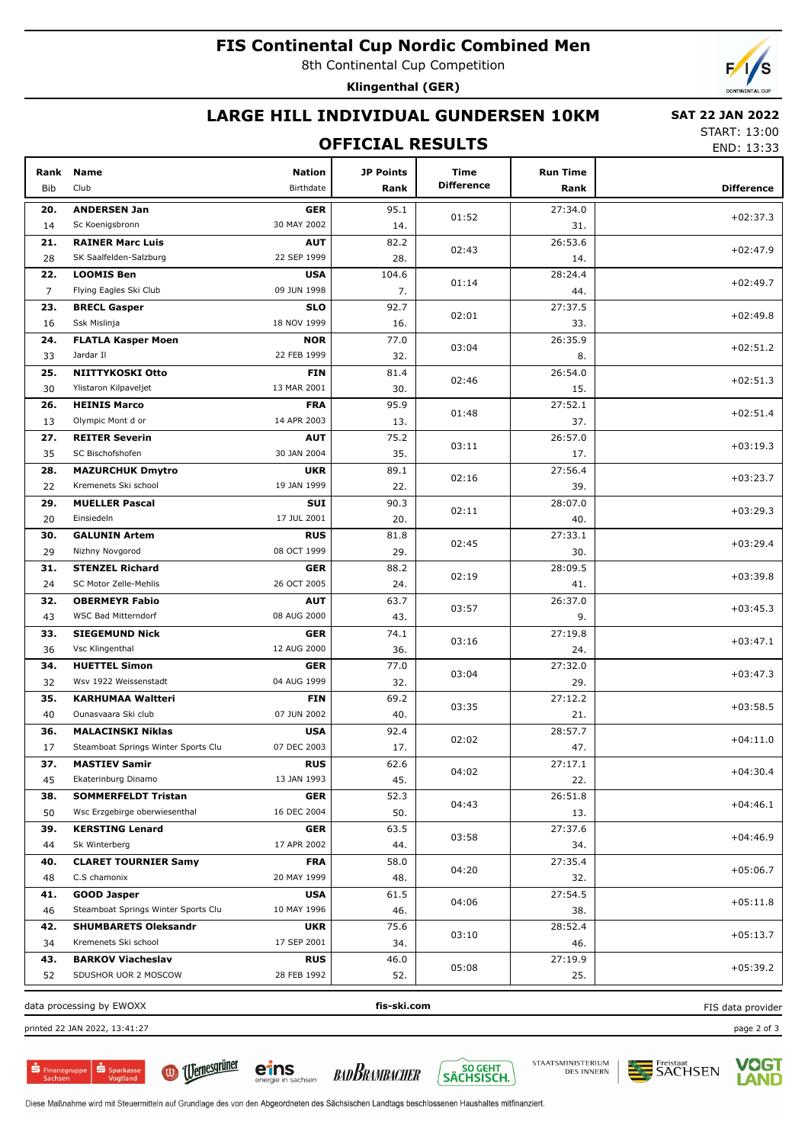### **FIS Continental Cup Nordic Combined Men**

8th Continental Cup Competition

**Klingenthal (GER)**

# **LARGE HILL INDIVIDUAL GUNDERSEN 10KM**

#### **SAT 22 JAN 2022**

#### **OFFICIAL RESULTS**

START: 13:00 END: 13:33

| Rank                                                         | <b>Name</b>                            | Nation                    | <b>JP Points</b> | <b>Time</b>       | <b>Run Time</b> | LIV LJ.JJ         |  |
|--------------------------------------------------------------|----------------------------------------|---------------------------|------------------|-------------------|-----------------|-------------------|--|
| <b>Bib</b>                                                   | Club                                   | Birthdate                 | Rank             | <b>Difference</b> | Rank            | <b>Difference</b> |  |
|                                                              |                                        |                           |                  |                   |                 |                   |  |
| 20.<br>14                                                    | <b>ANDERSEN Jan</b><br>Sc Koenigsbronn | <b>GER</b><br>30 MAY 2002 | 95.1<br>14.      | 01:52             | 27:34.0<br>31.  | $+02:37.3$        |  |
| 21.                                                          | <b>RAINER Marc Luis</b>                | <b>AUT</b>                | 82.2             |                   | 26:53.6         |                   |  |
| 28                                                           | SK Saalfelden-Salzburg                 | 22 SEP 1999               | 28.              | 02:43             | 14.             | $+02:47.9$        |  |
| 22.                                                          | <b>LOOMIS Ben</b>                      | <b>USA</b>                | 104.6            |                   | 28:24.4         |                   |  |
| 7                                                            | Flying Eagles Ski Club                 | 09 JUN 1998               | 7.               | 01:14             | 44.             | $+02:49.7$        |  |
| 23.                                                          | <b>BRECL Gasper</b>                    | <b>SLO</b>                | 92.7             |                   | 27:37.5         |                   |  |
| 16                                                           | Ssk Mislinja                           | 18 NOV 1999               | 16.              | 02:01             | 33.             | $+02:49.8$        |  |
| 24.                                                          | <b>FLATLA Kasper Moen</b>              | <b>NOR</b>                | 77.0             |                   | 26:35.9         |                   |  |
| 33                                                           | Jardar II                              | 22 FEB 1999               | 32.              | 03:04             | 8.              | $+02:51.2$        |  |
| 25.                                                          | NIITTYKOSKI Otto                       | <b>FIN</b>                | 81.4             |                   | 26:54.0         |                   |  |
| 30                                                           | Ylistaron Kilpaveljet                  | 13 MAR 2001               | 30.              | 02:46             | 15.             | $+02:51.3$        |  |
| 26.                                                          | <b>HEINIS Marco</b>                    | <b>FRA</b>                | 95.9             |                   | 27:52.1         |                   |  |
| 13                                                           | Olympic Mont d or                      | 14 APR 2003               | 13.              | 01:48             | 37.             | $+02:51.4$        |  |
| 27.                                                          | <b>REITER Severin</b>                  | <b>AUT</b>                | 75.2             |                   | 26:57.0         |                   |  |
| 35                                                           | SC Bischofshofen                       | 30 JAN 2004               | 35.              | 03:11             | 17.             | $+03:19.3$        |  |
| 28.                                                          | <b>MAZURCHUK Dmytro</b>                | <b>UKR</b>                | 89.1             |                   | 27:56.4         |                   |  |
| 22                                                           | Kremenets Ski school                   | 19 JAN 1999               | 22.              | 02:16             | 39.             | $+03:23.7$        |  |
| 29.                                                          | <b>MUELLER Pascal</b>                  | SUI                       | 90.3             |                   | 28:07.0         |                   |  |
| 20                                                           | Einsiedeln                             | 17 JUL 2001               | 20.              | 02:11             | 40.             | $+03:29.3$        |  |
| 30.                                                          | <b>GALUNIN Artem</b>                   | <b>RUS</b>                | 81.8             |                   | 27:33.1         |                   |  |
| 29                                                           | Nizhny Novgorod                        | 08 OCT 1999               | 29.              | 02:45             | 30.             | $+03:29.4$        |  |
| 31.                                                          | <b>STENZEL Richard</b>                 | <b>GER</b>                | 88.2             |                   | 28:09.5         |                   |  |
| 24                                                           | SC Motor Zelle-Mehlis                  | 26 OCT 2005               | 24.              | 02:19             | 41.             | $+03:39.8$        |  |
| 32.                                                          | <b>OBERMEYR Fabio</b>                  | <b>AUT</b>                | 63.7             |                   | 26:37.0         |                   |  |
| 43                                                           | WSC Bad Mitterndorf                    | 08 AUG 2000               | 43.              | 03:57             | 9.              | $+03:45.3$        |  |
| 33.                                                          | <b>SIEGEMUND Nick</b>                  | <b>GER</b>                | 74.1             |                   | 27:19.8         |                   |  |
| 36                                                           | Vsc Klingenthal                        | 12 AUG 2000               | 36.              | 03:16             | 24.             | $+03:47.1$        |  |
| 34.                                                          | <b>HUETTEL Simon</b>                   | <b>GER</b>                | 77.0             |                   | 27:32.0         |                   |  |
| 32                                                           | Wsv 1922 Weissenstadt                  | 04 AUG 1999               | 32.              | 03:04             | 29.             | $+03:47.3$        |  |
| 35.                                                          | <b>KARHUMAA Waltteri</b>               | <b>FIN</b>                | 69.2             |                   | 27:12.2         |                   |  |
| 40                                                           | Ounasvaara Ski club                    | 07 JUN 2002               | 40.              | 03:35             | 21.             | $+03:58.5$        |  |
| 36.                                                          | <b>MALACINSKI Niklas</b>               | <b>USA</b>                | 92.4             |                   | 28:57.7         |                   |  |
| 17                                                           | Steamboat Springs Winter Sports Clu    | 07 DEC 2003               | 17.              | 02:02             | 47.             | $+04:11.0$        |  |
| 37.                                                          | <b>MASTIEV Samir</b>                   | <b>RUS</b>                | 62.6             |                   | 27:17.1         |                   |  |
| 45                                                           | Ekaterinburg Dinamo                    | 13 JAN 1993               | 45.              | 04:02             | 22.             | $+04:30.4$        |  |
| 38.                                                          | <b>SOMMERFELDT Tristan</b>             | <b>GER</b>                | 52.3             |                   | 26:51.8         |                   |  |
| 50                                                           | Wsc Erzgebirge oberwiesenthal          | 16 DEC 2004               | 50.              | 04:43             | 13.             | $+04:46.1$        |  |
| 39.                                                          | <b>KERSTING Lenard</b>                 | <b>GER</b>                | 63.5             |                   | 27:37.6         |                   |  |
| 44                                                           | Sk Winterberg                          | 17 APR 2002               | 44.              | 03:58             | 34.             | $+04:46.9$        |  |
| 40.                                                          | <b>CLARET TOURNIER Samy</b>            | <b>FRA</b>                | 58.0             |                   | 27:35.4         |                   |  |
| 48                                                           | C.S chamonix                           | 20 MAY 1999               | 48.              | 04:20             | 32.             | $+05:06.7$        |  |
| 41.                                                          | <b>GOOD Jasper</b>                     | <b>USA</b>                | 61.5             |                   | 27:54.5         |                   |  |
| 46                                                           | Steamboat Springs Winter Sports Clu    | 10 MAY 1996               | 46.              | 04:06             | 38.             | $+05:11.8$        |  |
| 42.                                                          | <b>SHUMBARETS Oleksandr</b>            | <b>UKR</b>                | 75.6             |                   | 28:52.4         |                   |  |
| 34                                                           | Kremenets Ski school                   | 17 SEP 2001               | 34.              | 03:10             | 46.             | $+05:13.7$        |  |
| 43.                                                          | <b>BARKOV Viacheslav</b>               | <b>RUS</b>                | 46.0             |                   | 27:19.9         |                   |  |
| 52                                                           | SDUSHOR UOR 2 MOSCOW                   | 28 FEB 1992               | 52.              | 05:08             | 25.             | $+05:39.2$        |  |
| fis-ski.com<br>data processing by EWOXX<br>FIS data provider |                                        |                           |                  |                   |                 |                   |  |

data processing by EWOXX **fis-ski.com**

printed 22 JAN 2022, 13:41:27 page 2 of 3

 $S<sub>parkass</sub>$  $\mathbf{\dot{S}}$  Finanzgruppe











eins